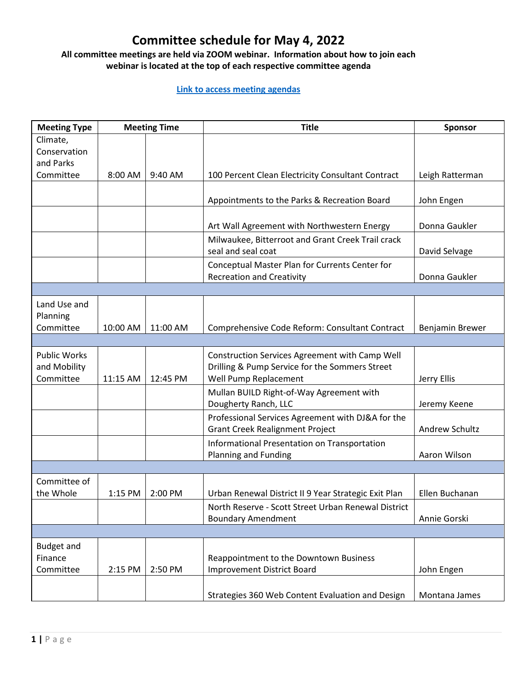## **Committee schedule for May 4, 2022**

## **All committee meetings are held via ZOOM webinar. Information about how to join each webinar is located at the top of each respective committee agenda**

## **[Link to access meeting agendas](http://www.ci.missoula.mt.us/webcasts)**

| <b>Meeting Type</b>                              | <b>Meeting Time</b> |          | <b>Title</b>                                                                                                              | Sponsor         |  |  |  |
|--------------------------------------------------|---------------------|----------|---------------------------------------------------------------------------------------------------------------------------|-----------------|--|--|--|
| Climate,<br>Conservation<br>and Parks            |                     |          |                                                                                                                           |                 |  |  |  |
| Committee                                        | 8:00 AM             | 9:40 AM  | 100 Percent Clean Electricity Consultant Contract                                                                         | Leigh Ratterman |  |  |  |
|                                                  |                     |          | Appointments to the Parks & Recreation Board                                                                              | John Engen      |  |  |  |
|                                                  |                     |          | Art Wall Agreement with Northwestern Energy                                                                               | Donna Gaukler   |  |  |  |
|                                                  |                     |          | Milwaukee, Bitterroot and Grant Creek Trail crack<br>seal and seal coat                                                   | David Selvage   |  |  |  |
|                                                  |                     |          | Conceptual Master Plan for Currents Center for<br><b>Recreation and Creativity</b>                                        | Donna Gaukler   |  |  |  |
|                                                  |                     |          |                                                                                                                           |                 |  |  |  |
| Land Use and<br>Planning                         |                     |          |                                                                                                                           |                 |  |  |  |
| Committee                                        | 10:00 AM            | 11:00 AM | Comprehensive Code Reform: Consultant Contract                                                                            | Benjamin Brewer |  |  |  |
|                                                  |                     |          |                                                                                                                           |                 |  |  |  |
| <b>Public Works</b><br>and Mobility<br>Committee | 11:15 AM            | 12:45 PM | Construction Services Agreement with Camp Well<br>Drilling & Pump Service for the Sommers Street<br>Well Pump Replacement | Jerry Ellis     |  |  |  |
|                                                  |                     |          | Mullan BUILD Right-of-Way Agreement with<br>Dougherty Ranch, LLC                                                          | Jeremy Keene    |  |  |  |
|                                                  |                     |          | Professional Services Agreement with DJ&A for the<br><b>Grant Creek Realignment Project</b>                               | Andrew Schultz  |  |  |  |
|                                                  |                     |          | Informational Presentation on Transportation<br>Planning and Funding                                                      | Aaron Wilson    |  |  |  |
|                                                  |                     |          |                                                                                                                           |                 |  |  |  |
| Committee of<br>the Whole                        | 1:15 PM             | 2:00 PM  | Urban Renewal District II 9 Year Strategic Exit Plan                                                                      | Ellen Buchanan  |  |  |  |
|                                                  |                     |          | North Reserve - Scott Street Urban Renewal District<br><b>Boundary Amendment</b>                                          | Annie Gorski    |  |  |  |
|                                                  |                     |          |                                                                                                                           |                 |  |  |  |
| <b>Budget and</b><br>Finance<br>Committee        | 2:15 PM             | 2:50 PM  | Reappointment to the Downtown Business<br><b>Improvement District Board</b>                                               | John Engen      |  |  |  |
|                                                  |                     |          | Strategies 360 Web Content Evaluation and Design                                                                          | Montana James   |  |  |  |